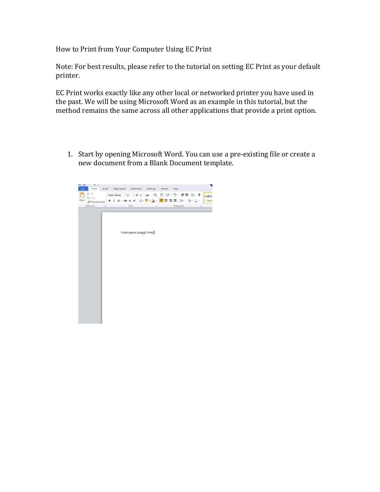How to Print from Your Computer Using EC Print

Note: For best results, please refer to the tutorial on setting EC Print as your default printer.

EC Print works exactly like any other local or networked printer you have used in the past. We will be using Microsoft Word as an example in this tutorial, but the method remains the same across all other applications that provide a print option.

1. Start by opening Microsoft Word. You can use a pre-existing file or create a new document from a Blank Document template.

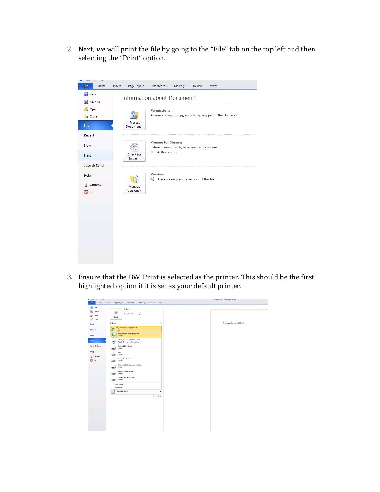2. Next, we will print the file by going to the "File" tab on the top left and then selecting the "Print" option.



3. Ensure that the BW\_Print is selected as the printer. This should be the first highlighted option if it is set as your default printer.

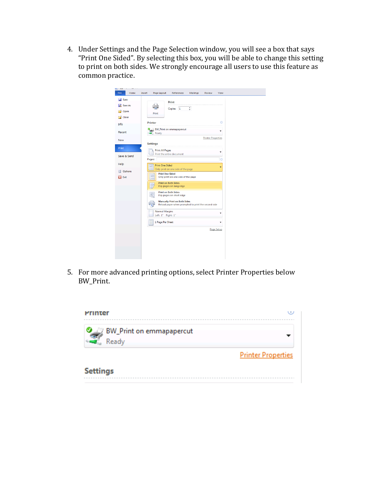4. Under Settings and the Page Selection window, you will see a box that says "Print One Sided". By selecting this box, you will be able to change this setting to print on both sides. We strongly encourage all users to use this feature as common practice.

| Save<br>Save As   | Print                                                                                      |
|-------------------|--------------------------------------------------------------------------------------------|
| Open              | ÷<br>Copies: 1<br>Print                                                                    |
| Close             | $^{\circ}$                                                                                 |
| Info              | <b>Printer</b>                                                                             |
| Recent            | 8 / BW_Print on emmapapercut<br>٠<br>$\blacksquare$ Ready                                  |
| <b>New</b>        | <b>Printer Properties</b><br><b>Settings</b>                                               |
| <b>Print</b>      | <b>Print All Pages</b>                                                                     |
| Save & Send       | Print the entire document<br>Pages:<br>$\odot$                                             |
| Help              | <b>Print One Sided</b><br>$\Box \equiv$<br>٠                                               |
| <b>Ed</b> Options | Only print on one side of the page<br><b>Print One Sided</b>                               |
| $\mathbf{H}$ Exit | Œ<br>Only print on one side of the page                                                    |
|                   | <b>Print on Both Sides</b><br>□<br>Flip pages on long edge                                 |
|                   | <b>Print on Both Sides</b><br>Flip pages on short edge                                     |
|                   | <b>Manually Print on Both Sides</b><br>Reload paper when prompted to print the second side |
|                   | <b>Normal Margins</b><br>Left: 1" Right: 1"                                                |
|                   | 1 Page Per Sheet                                                                           |
|                   | Page Setup                                                                                 |
|                   |                                                                                            |
|                   |                                                                                            |
|                   |                                                                                            |

5. For more advanced printing options, select Printer Properties below BW\_Print. 

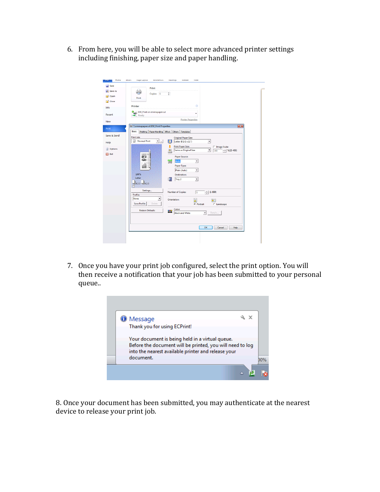6. From here, you will be able to select more advanced printer settings including finishing, paper size and paper handling.

| Print<br>Copies: 1<br>¢<br>Print<br><b>Close</b><br>$^\circledR$<br>Printer<br>BW_Print on emmapapercut<br>Ready<br><b>Printer Properties</b><br>888 \\emmapapercut\BW_Print Properties<br>$-x$<br>Basic<br>Finishing Paper Handling Effect Others Templates<br>Print Job:<br><b>Original Paper Size:</b><br><b>Normal Print</b><br>$\mathbf{v}$ $\mathbf{v}$<br>圓<br>冒<br>Letter (8 1/2 x 11")<br>$\blacktriangledown$<br>ı<br><b>Print Paper Size:</b><br>□ Image Scale:<br>Same as Original Size<br>$%$ (25-400)<br>$\overline{\phantom{a}}$<br>100<br><b>Paper Source:</b><br>懛<br>Auto<br>$\overline{\phantom{a}}$<br>Paper Type:<br>Plain (Auto)<br>٠<br>100%<br>Destination:<br>Letter<br>œ<br>Tray 2<br>$\blacktriangledown$<br>╝1.2.3 ╛1.2.3<br>Settings<br>$- (1 - 999)$<br><b>Number of Copies:</b><br>$\overline{1}$<br>Profile:<br>None<br>$\blacktriangledown$<br>Orientation:<br>H<br><b>R</b><br><b>Save Profile</b><br>Delete<br>C Portrait<br>C Landscape<br>Color:<br><b>Restore Defaults</b><br>$\frac{1}{2}$<br><b>Black and White</b><br>Details<br>$\blacktriangledown$<br>ОК<br>Cancel<br>Help |                                |  |
|------------------------------------------------------------------------------------------------------------------------------------------------------------------------------------------------------------------------------------------------------------------------------------------------------------------------------------------------------------------------------------------------------------------------------------------------------------------------------------------------------------------------------------------------------------------------------------------------------------------------------------------------------------------------------------------------------------------------------------------------------------------------------------------------------------------------------------------------------------------------------------------------------------------------------------------------------------------------------------------------------------------------------------------------------------------------------------------------------------------------|--------------------------------|--|
| Info                                                                                                                                                                                                                                                                                                                                                                                                                                                                                                                                                                                                                                                                                                                                                                                                                                                                                                                                                                                                                                                                                                                   | save<br>Save As<br><b>Open</b> |  |
| Print<br><b>Calculation</b><br>Exit                                                                                                                                                                                                                                                                                                                                                                                                                                                                                                                                                                                                                                                                                                                                                                                                                                                                                                                                                                                                                                                                                    |                                |  |
| <b>New</b><br>Save & Send<br>Help                                                                                                                                                                                                                                                                                                                                                                                                                                                                                                                                                                                                                                                                                                                                                                                                                                                                                                                                                                                                                                                                                      | Recent                         |  |
|                                                                                                                                                                                                                                                                                                                                                                                                                                                                                                                                                                                                                                                                                                                                                                                                                                                                                                                                                                                                                                                                                                                        |                                |  |
|                                                                                                                                                                                                                                                                                                                                                                                                                                                                                                                                                                                                                                                                                                                                                                                                                                                                                                                                                                                                                                                                                                                        |                                |  |
|                                                                                                                                                                                                                                                                                                                                                                                                                                                                                                                                                                                                                                                                                                                                                                                                                                                                                                                                                                                                                                                                                                                        |                                |  |
|                                                                                                                                                                                                                                                                                                                                                                                                                                                                                                                                                                                                                                                                                                                                                                                                                                                                                                                                                                                                                                                                                                                        |                                |  |
|                                                                                                                                                                                                                                                                                                                                                                                                                                                                                                                                                                                                                                                                                                                                                                                                                                                                                                                                                                                                                                                                                                                        |                                |  |
|                                                                                                                                                                                                                                                                                                                                                                                                                                                                                                                                                                                                                                                                                                                                                                                                                                                                                                                                                                                                                                                                                                                        |                                |  |
|                                                                                                                                                                                                                                                                                                                                                                                                                                                                                                                                                                                                                                                                                                                                                                                                                                                                                                                                                                                                                                                                                                                        |                                |  |
|                                                                                                                                                                                                                                                                                                                                                                                                                                                                                                                                                                                                                                                                                                                                                                                                                                                                                                                                                                                                                                                                                                                        |                                |  |
|                                                                                                                                                                                                                                                                                                                                                                                                                                                                                                                                                                                                                                                                                                                                                                                                                                                                                                                                                                                                                                                                                                                        |                                |  |
|                                                                                                                                                                                                                                                                                                                                                                                                                                                                                                                                                                                                                                                                                                                                                                                                                                                                                                                                                                                                                                                                                                                        |                                |  |
|                                                                                                                                                                                                                                                                                                                                                                                                                                                                                                                                                                                                                                                                                                                                                                                                                                                                                                                                                                                                                                                                                                                        |                                |  |
|                                                                                                                                                                                                                                                                                                                                                                                                                                                                                                                                                                                                                                                                                                                                                                                                                                                                                                                                                                                                                                                                                                                        |                                |  |
|                                                                                                                                                                                                                                                                                                                                                                                                                                                                                                                                                                                                                                                                                                                                                                                                                                                                                                                                                                                                                                                                                                                        |                                |  |
|                                                                                                                                                                                                                                                                                                                                                                                                                                                                                                                                                                                                                                                                                                                                                                                                                                                                                                                                                                                                                                                                                                                        |                                |  |

7. Once you have your print job configured, select the print option. You will then receive a notification that your job has been submitted to your personal queue..



8. Once your document has been submitted, you may authenticate at the nearest device to release your print job.